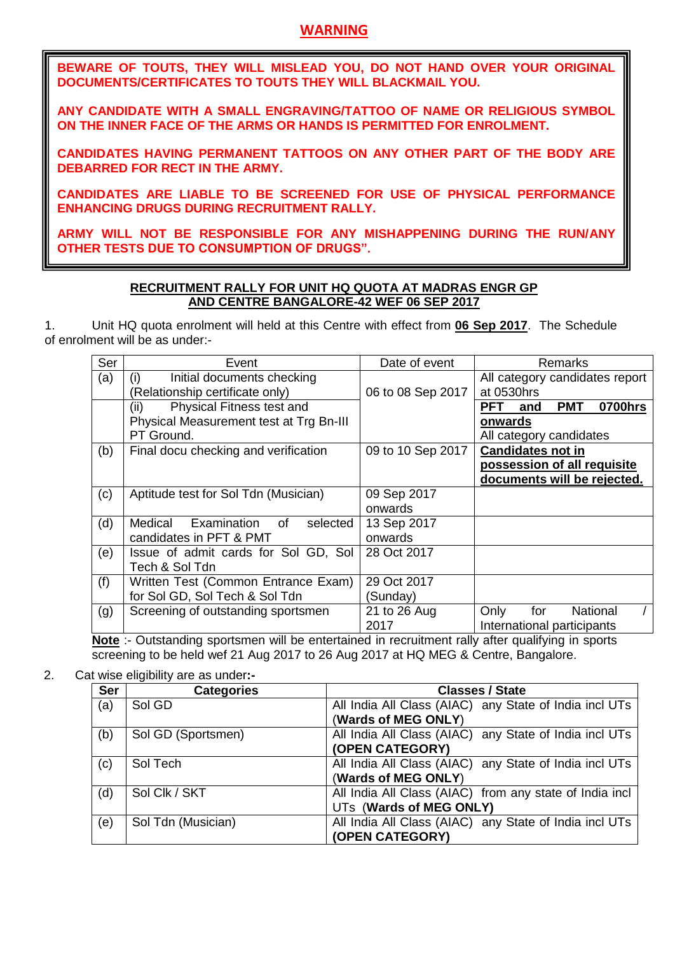## **WARNING**

**BEWARE OF TOUTS, THEY WILL MISLEAD YOU, DO NOT HAND OVER YOUR ORIGINAL DOCUMENTS/CERTIFICATES TO TOUTS THEY WILL BLACKMAIL YOU.**

**ANY CANDIDATE WITH A SMALL ENGRAVING/TATTOO OF NAME OR RELIGIOUS SYMBOL ON THE INNER FACE OF THE ARMS OR HANDS IS PERMITTED FOR ENROLMENT.** 

**CANDIDATES HAVING PERMANENT TATTOOS ON ANY OTHER PART OF THE BODY ARE DEBARRED FOR RECT IN THE ARMY.**

**CANDIDATES ARE LIABLE TO BE SCREENED FOR USE OF PHYSICAL PERFORMANCE ENHANCING DRUGS DURING RECRUITMENT RALLY.**

**ARMY WILL NOT BE RESPONSIBLE FOR ANY MISHAPPENING DURING THE RUN/ANY OTHER TESTS DUE TO CONSUMPTION OF DRUGS".**

## **RECRUITMENT RALLY FOR UNIT HQ QUOTA AT MADRAS ENGR GP AND CENTRE BANGALORE-42 WEF 06 SEP 2017**

1. Unit HQ quota enrolment will held at this Centre with effect from **06 Sep 2017**. The Schedule of enrolment will be as under:-

| Ser | Event                                          | Date of event     | Remarks                                    |
|-----|------------------------------------------------|-------------------|--------------------------------------------|
| (a) | Initial documents checking<br>(i)              |                   | All category candidates report             |
|     | (Relationship certificate only)                | 06 to 08 Sep 2017 | at 0530hrs                                 |
|     | Physical Fitness test and<br>(ii)              |                   | 0700hrs<br><b>PMT</b><br><b>PFT</b><br>and |
|     | Physical Measurement test at Trg Bn-III        |                   | onwards                                    |
|     | PT Ground.                                     |                   | All category candidates                    |
| (b) | Final docu checking and verification           | 09 to 10 Sep 2017 | <b>Candidates not in</b>                   |
|     |                                                |                   | possession of all requisite                |
|     |                                                |                   | documents will be rejected.                |
| (c) | Aptitude test for Sol Tdn (Musician)           | 09 Sep 2017       |                                            |
|     |                                                | onwards           |                                            |
| (d) | Examination<br>Medical<br>selected<br>of       | 13 Sep 2017       |                                            |
|     | candidates in PFT & PMT                        | onwards           |                                            |
| (e) | Issue of admit cards for Sol GD, Sol           | 28 Oct 2017       |                                            |
|     | Tech & Sol Tdn                                 |                   |                                            |
| (f) | Written Test (Common Entrance Exam)            | 29 Oct 2017       |                                            |
|     | for Sol GD, Sol Tech & Sol Tdn                 | (Sunday)          |                                            |
| (g) | Screening of outstanding sportsmen             | 21 to 26 Aug      | Only<br>National<br>for                    |
|     | $\sim$ $\sim$ $\sim$ $\sim$ $\sim$ $\sim$<br>. | 2017              | International participants                 |

**Note** :- Outstanding sportsmen will be entertained in recruitment rally after qualifying in sports screening to be held wef 21 Aug 2017 to 26 Aug 2017 at HQ MEG & Centre, Bangalore.

2. Cat wise eligibility are as under**:-**

| <b>Ser</b> | <b>Categories</b>  | <b>Classes / State</b>                                  |
|------------|--------------------|---------------------------------------------------------|
| (a)        | Sol GD             | All India All Class (AIAC) any State of India incl UTs  |
|            |                    | (Wards of MEG ONLY)                                     |
| (b)        | Sol GD (Sportsmen) | All India All Class (AIAC) any State of India incl UTs  |
|            |                    | (OPEN CATEGORY)                                         |
| (c)        | Sol Tech           | All India All Class (AIAC) any State of India incl UTs  |
|            |                    | (Wards of MEG ONLY)                                     |
| (d)        | Sol Clk / SKT      | All India All Class (AIAC) from any state of India incl |
|            |                    | UTs (Wards of MEG ONLY)                                 |
| (e)        | Sol Tdn (Musician) | All India All Class (AIAC) any State of India incl UTs  |
|            |                    | (OPEN CATEGORY)                                         |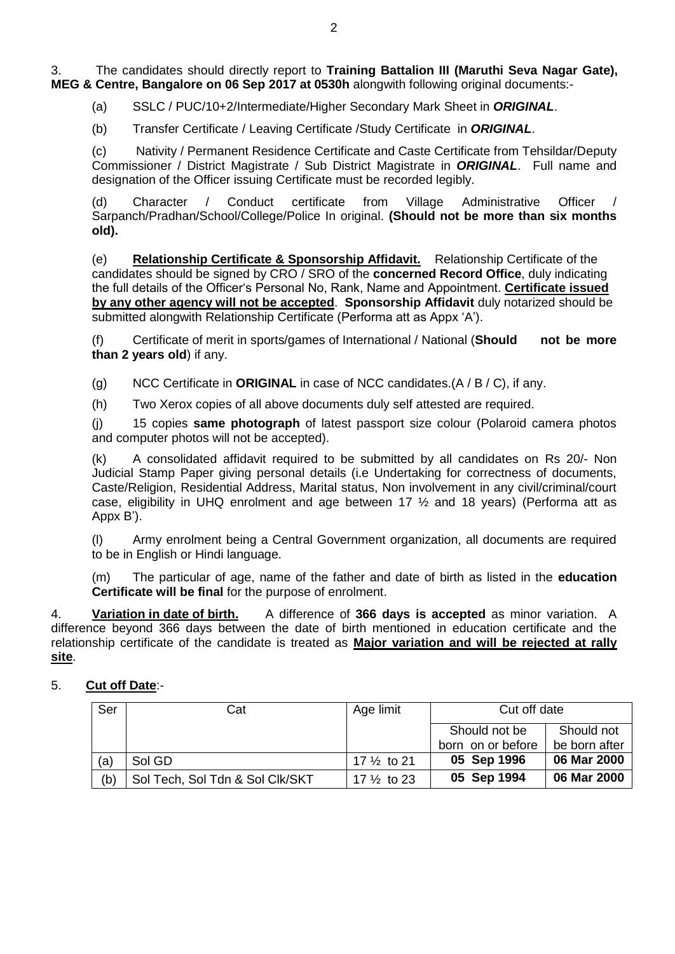3. The candidates should directly report to **Training Battalion III (Maruthi Seva Nagar Gate), MEG & Centre, Bangalore on 06 Sep 2017 at 0530h** alongwith following original documents:-

(a) SSLC / PUC/10+2/Intermediate/Higher Secondary Mark Sheet in *ORIGINAL*.

(b) Transfer Certificate / Leaving Certificate /Study Certificate in *ORIGINAL*.

(c) Nativity / Permanent Residence Certificate and Caste Certificate from Tehsildar/Deputy Commissioner / District Magistrate / Sub District Magistrate in *ORIGINAL*. Full name and designation of the Officer issuing Certificate must be recorded legibly.

(d) Character / Conduct certificate from Village Administrative Officer / Sarpanch/Pradhan/School/College/Police In original. **(Should not be more than six months old).**

(e) **Relationship Certificate & Sponsorship Affidavit.** Relationship Certificate of the candidates should be signed by CRO / SRO of the **concerned Record Office**, duly indicating the full details of the Officer's Personal No, Rank, Name and Appointment. **Certificate issued by any other agency will not be accepted**. **Sponsorship Affidavit** duly notarized should be submitted alongwith Relationship Certificate (Performa att as Appx 'A').

(f) Certificate of merit in sports/games of International / National (**Should not be more than 2 years old**) if any.

(g) NCC Certificate in **ORIGINAL** in case of NCC candidates.(A / B / C), if any.

(h) Two Xerox copies of all above documents duly self attested are required.

(j) 15 copies **same photograph** of latest passport size colour (Polaroid camera photos and computer photos will not be accepted).

(k) A consolidated affidavit required to be submitted by all candidates on Rs 20/- Non Judicial Stamp Paper giving personal details (i.e Undertaking for correctness of documents, Caste/Religion, Residential Address, Marital status, Non involvement in any civil/criminal/court case, eligibility in UHQ enrolment and age between 17  $\frac{1}{2}$  and 18 years) (Performa att as Appx B').

(l) Army enrolment being a Central Government organization, all documents are required to be in English or Hindi language.

(m) The particular of age, name of the father and date of birth as listed in the **education Certificate will be final** for the purpose of enrolment.

4. **Variation in date of birth.** A difference of **366 days is accepted** as minor variation. A difference beyond 366 days between the date of birth mentioned in education certificate and the relationship certificate of the candidate is treated as **Major variation and will be rejected at rally site**.

# 5. **Cut off Date**:-

| Ser | Cat                             | Age limit              | Cut off date      |               |
|-----|---------------------------------|------------------------|-------------------|---------------|
|     |                                 |                        | Should not be     | Should not    |
|     |                                 |                        | born on or before | be born after |
| (a) | Sol GD                          | 17 $\frac{1}{2}$ to 21 | 05 Sep 1996       | 06 Mar 2000   |
| (b) | Sol Tech, Sol Tdn & Sol Clk/SKT | 17 $\frac{1}{2}$ to 23 | 05 Sep 1994       | 06 Mar 2000   |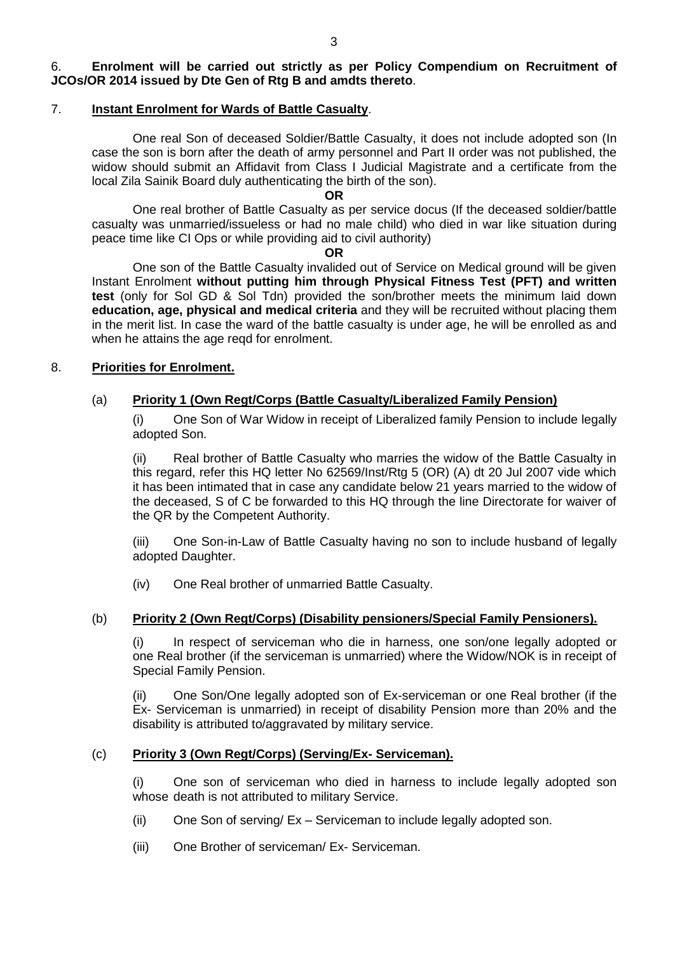### 6. **Enrolment will be carried out strictly as per Policy Compendium on Recruitment of JCOs/OR 2014 issued by Dte Gen of Rtg B and amdts thereto**.

## 7. **Instant Enrolment for Wards of Battle Casualty**.

One real Son of deceased Soldier/Battle Casualty, it does not include adopted son (In case the son is born after the death of army personnel and Part II order was not published, the widow should submit an Affidavit from Class I Judicial Magistrate and a certificate from the local Zila Sainik Board duly authenticating the birth of the son).

**OR**

One real brother of Battle Casualty as per service docus (If the deceased soldier/battle casualty was unmarried/issueless or had no male child) who died in war like situation during peace time like CI Ops or while providing aid to civil authority)

**OR**

One son of the Battle Casualty invalided out of Service on Medical ground will be given Instant Enrolment **without putting him through Physical Fitness Test (PFT) and written test** (only for Sol GD & Sol Tdn) provided the son/brother meets the minimum laid down **education, age, physical and medical criteria** and they will be recruited without placing them in the merit list. In case the ward of the battle casualty is under age, he will be enrolled as and when he attains the age reqd for enrolment.

## 8. **Priorities for Enrolment.**

## (a) **Priority 1 (Own Regt/Corps (Battle Casualty/Liberalized Family Pension)**

(i) One Son of War Widow in receipt of Liberalized family Pension to include legally adopted Son.

(ii) Real brother of Battle Casualty who marries the widow of the Battle Casualty in this regard, refer this HQ letter No 62569/Inst/Rtg 5 (OR) (A) dt 20 Jul 2007 vide which it has been intimated that in case any candidate below 21 years married to the widow of the deceased, S of C be forwarded to this HQ through the line Directorate for waiver of the QR by the Competent Authority.

(iii) One Son-in-Law of Battle Casualty having no son to include husband of legally adopted Daughter.

(iv) One Real brother of unmarried Battle Casualty.

## (b) **Priority 2 (Own Regt/Corps) (Disability pensioners/Special Family Pensioners).**

(i) In respect of serviceman who die in harness, one son/one legally adopted or one Real brother (if the serviceman is unmarried) where the Widow/NOK is in receipt of Special Family Pension.

(ii) One Son/One legally adopted son of Ex-serviceman or one Real brother (if the Ex- Serviceman is unmarried) in receipt of disability Pension more than 20% and the disability is attributed to/aggravated by military service.

### (c) **Priority 3 (Own Regt/Corps) (Serving/Ex- Serviceman).**

(i) One son of serviceman who died in harness to include legally adopted son whose death is not attributed to military Service.

- (ii) One Son of serving/ Ex Serviceman to include legally adopted son.
- (iii) One Brother of serviceman/ Ex- Serviceman.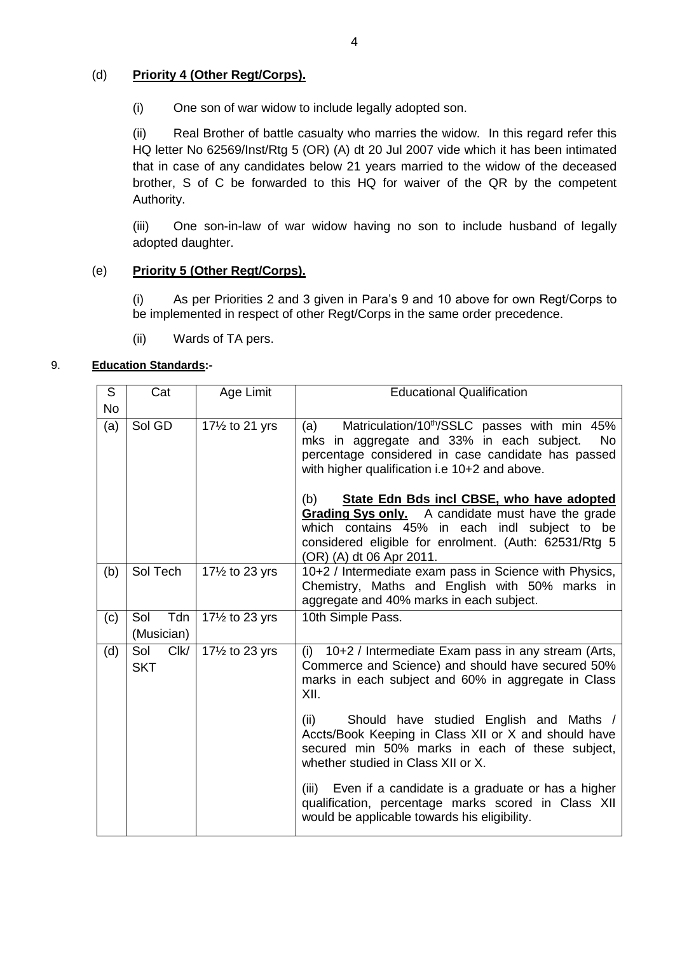## (d) **Priority 4 (Other Regt/Corps).**

(i) One son of war widow to include legally adopted son.

(ii) Real Brother of battle casualty who marries the widow. In this regard refer this HQ letter No 62569/Inst/Rtg 5 (OR) (A) dt 20 Jul 2007 vide which it has been intimated that in case of any candidates below 21 years married to the widow of the deceased brother, S of C be forwarded to this HQ for waiver of the QR by the competent Authority.

(iii) One son-in-law of war widow having no son to include husband of legally adopted daughter.

## (e) **Priority 5 (Other Regt/Corps).**

(i) As per Priorities 2 and 3 given in Para's 9 and 10 above for own Regt/Corps to be implemented in respect of other Regt/Corps in the same order precedence.

(ii) Wards of TA pers.

## 9. **Education Standards:-**

| S         | Cat                       | Age Limit       | <b>Educational Qualification</b>                                                                                                                                                                                                                                                     |
|-----------|---------------------------|-----------------|--------------------------------------------------------------------------------------------------------------------------------------------------------------------------------------------------------------------------------------------------------------------------------------|
| <b>No</b> |                           |                 |                                                                                                                                                                                                                                                                                      |
| (a)       | Sol GD                    | 171/2 to 21 yrs | Matriculation/10 <sup>th</sup> /SSLC passes with min 45%<br>(a)<br>mks in aggregate and 33% in each subject.<br><b>No</b><br>percentage considered in case candidate has passed<br>with higher qualification i.e 10+2 and above.<br>State Edn Bds incl CBSE, who have adopted<br>(b) |
|           |                           |                 | Grading Sys only. A candidate must have the grade<br>which contains 45% in each indl subject to be<br>considered eligible for enrolment. (Auth: 62531/Rtg 5<br>(OR) (A) dt 06 Apr 2011.                                                                                              |
| (b)       | Sol Tech                  | 171/2 to 23 yrs | 10+2 / Intermediate exam pass in Science with Physics,<br>Chemistry, Maths and English with 50% marks in<br>aggregate and 40% marks in each subject.                                                                                                                                 |
| (c)       | Tdn<br>Sol<br>(Musician)  | 171/2 to 23 yrs | 10th Simple Pass.                                                                                                                                                                                                                                                                    |
| (d)       | Clk/<br>Sol<br><b>SKT</b> | 171/2 to 23 yrs | 10+2 / Intermediate Exam pass in any stream (Arts,<br>(i)<br>Commerce and Science) and should have secured 50%<br>marks in each subject and 60% in aggregate in Class<br>XII.                                                                                                        |
|           |                           |                 | Should have studied English and Maths /<br>(ii)<br>Accts/Book Keeping in Class XII or X and should have<br>secured min 50% marks in each of these subject,<br>whether studied in Class XII or X.                                                                                     |
|           |                           |                 | Even if a candidate is a graduate or has a higher<br>(iii)<br>qualification, percentage marks scored in Class XII<br>would be applicable towards his eligibility.                                                                                                                    |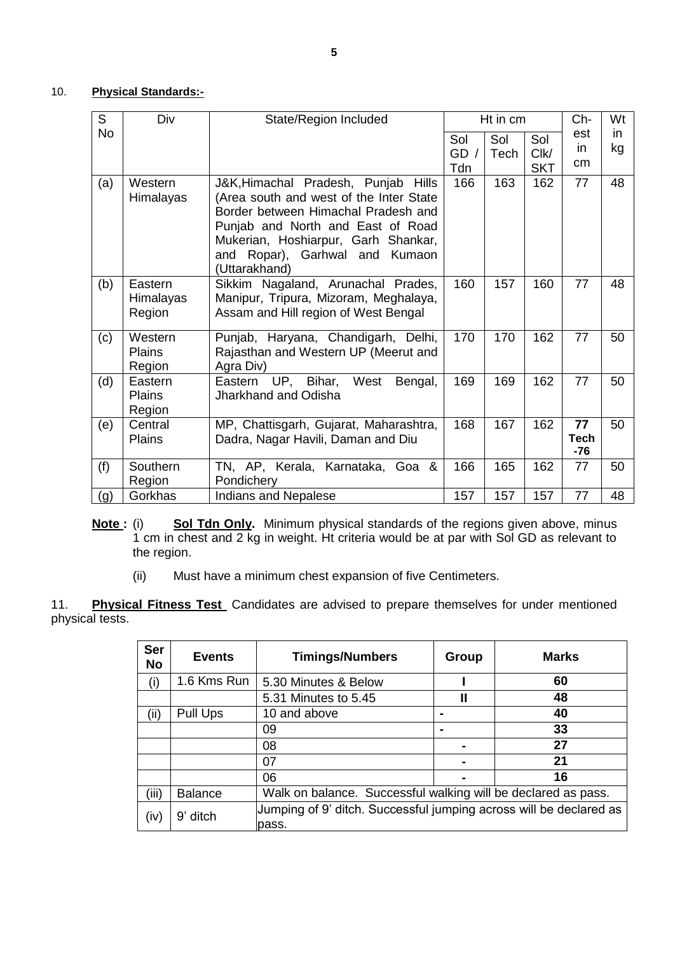#### 10. **Physical Standards:-**

| $\overline{S}$ | Div                                | State/Region Included                                                                                                                                                                                                                                   | Ht in cm           |             | Ch-                       | Wt                         |           |
|----------------|------------------------------------|---------------------------------------------------------------------------------------------------------------------------------------------------------------------------------------------------------------------------------------------------------|--------------------|-------------|---------------------------|----------------------------|-----------|
| <b>No</b>      |                                    |                                                                                                                                                                                                                                                         | Sol<br>GD /<br>Tdn | Sol<br>Tech | Sol<br>ClK/<br><b>SKT</b> | est<br>in<br>cm            | in.<br>kg |
| (a)            | Western<br>Himalayas               | J&K, Himachal Pradesh, Punjab<br>Hills<br>(Area south and west of the Inter State<br>Border between Himachal Pradesh and<br>Punjab and North and East of Road<br>Mukerian, Hoshiarpur, Garh Shankar,<br>and Ropar), Garhwal and Kumaon<br>(Uttarakhand) | 166                | 163         | 162                       | 77                         | 48        |
| (b)            | Eastern<br>Himalayas<br>Region     | Sikkim Nagaland, Arunachal Prades,<br>Manipur, Tripura, Mizoram, Meghalaya,<br>Assam and Hill region of West Bengal                                                                                                                                     | 160                | 157         | 160                       | 77                         | 48        |
| (c)            | Western<br><b>Plains</b><br>Region | Punjab, Haryana, Chandigarh, Delhi,<br>Rajasthan and Western UP (Meerut and<br>Agra Div)                                                                                                                                                                | 170                | 170         | 162                       | 77                         | 50        |
| (d)            | Eastern<br><b>Plains</b><br>Region | UP, Bihar, West<br>Eastern<br>Bengal,<br>Jharkhand and Odisha                                                                                                                                                                                           | 169                | 169         | 162                       | 77                         | 50        |
| (e)            | Central<br><b>Plains</b>           | MP, Chattisgarh, Gujarat, Maharashtra,<br>Dadra, Nagar Havili, Daman and Diu                                                                                                                                                                            | 168                | 167         | 162                       | 77<br><b>Tech</b><br>$-76$ | 50        |
| (f)            | Southern<br>Region                 | TN, AP, Kerala, Karnataka, Goa &<br>Pondichery                                                                                                                                                                                                          | 166                | 165         | 162                       | 77                         | 50        |
| (g)            | Gorkhas                            | <b>Indians and Nepalese</b>                                                                                                                                                                                                                             | 157                | 157         | 157                       | 77                         | 48        |

- **Note :** (i) **Sol Tdn Only.** Minimum physical standards of the regions given above, minus 1 cm in chest and 2 kg in weight. Ht criteria would be at par with Sol GD as relevant to the region.
	- (ii) Must have a minimum chest expansion of five Centimeters.

11. **Physical Fitness Test** Candidates are advised to prepare themselves for under mentioned physical tests.

| <b>Ser</b><br><b>No</b> | <b>Events</b>  | <b>Timings/Numbers</b>                                                      | Group          | <b>Marks</b> |
|-------------------------|----------------|-----------------------------------------------------------------------------|----------------|--------------|
| (i)                     | 1.6 Kms Run    | 5.30 Minutes & Below                                                        |                | 60           |
|                         |                | 5.31 Minutes to 5.45                                                        | $\mathbf{I}$   | 48           |
| (ii)                    | Pull Ups       | 10 and above                                                                | $\blacksquare$ | 40           |
|                         |                | 09                                                                          |                | 33           |
|                         |                | 08                                                                          |                | 27           |
|                         |                | 07                                                                          |                | 21           |
|                         |                | 06                                                                          |                | 16           |
| (iii)                   | <b>Balance</b> | Walk on balance. Successful walking will be declared as pass.               |                |              |
| (iv)                    | 9' ditch       | Jumping of 9' ditch. Successful jumping across will be declared as<br>pass. |                |              |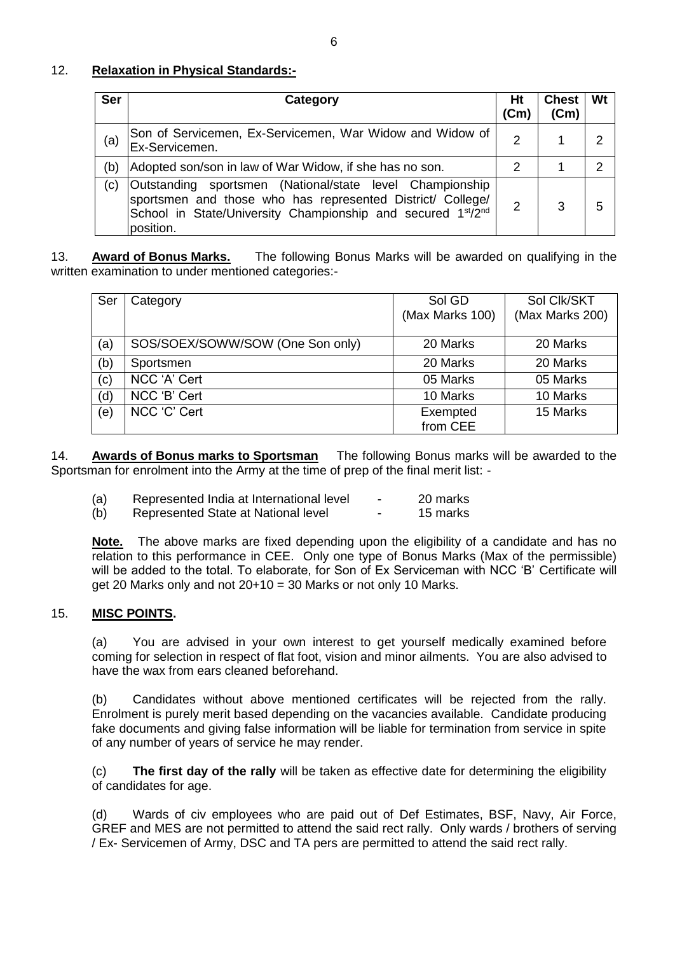### 12. **Relaxation in Physical Standards:-**

| <b>Ser</b> | Category                                                                                                                                                                                                                    | Ht<br>(Cm) | <b>Chest</b><br>(Cm) | Wt |
|------------|-----------------------------------------------------------------------------------------------------------------------------------------------------------------------------------------------------------------------------|------------|----------------------|----|
| (a)        | Son of Servicemen, Ex-Servicemen, War Widow and Widow of<br>Ex-Servicemen.                                                                                                                                                  | 2          |                      |    |
| (b)        | Adopted son/son in law of War Widow, if she has no son.                                                                                                                                                                     | 2          |                      | ົ  |
| (c)        | Outstanding sportsmen (National/state level Championship<br>sportsmen and those who has represented District/ College/<br>School in State/University Championship and secured 1 <sup>st</sup> /2 <sup>nd</sup><br>position. | 2          | 3                    | 5  |

13. **Award of Bonus Marks.** The following Bonus Marks will be awarded on qualifying in the written examination to under mentioned categories:-

| Ser | Category                         | Sol GD<br>(Max Marks 100) | Sol Clk/SKT<br>(Max Marks 200) |
|-----|----------------------------------|---------------------------|--------------------------------|
| (a) | SOS/SOEX/SOWW/SOW (One Son only) | 20 Marks                  | 20 Marks                       |
| (b) | Sportsmen                        | 20 Marks                  | 20 Marks                       |
| (c) | NCC 'A' Cert                     | 05 Marks                  | 05 Marks                       |
| (d) | NCC 'B' Cert                     | 10 Marks                  | 10 Marks                       |
| (e) | NCC 'C' Cert                     | Exempted                  | 15 Marks                       |
|     |                                  | from CEE                  |                                |

14. **Awards of Bonus marks to Sportsman** The following Bonus marks will be awarded to the Sportsman for enrolment into the Army at the time of prep of the final merit list: -

| Represented India at International level<br>(a) |  | 20 marks |
|-------------------------------------------------|--|----------|
|-------------------------------------------------|--|----------|

(b) Represented State at National level - 15 marks

**Note.** The above marks are fixed depending upon the eligibility of a candidate and has no relation to this performance in CEE. Only one type of Bonus Marks (Max of the permissible) will be added to the total. To elaborate, for Son of Ex Serviceman with NCC 'B' Certificate will get 20 Marks only and not 20+10 = 30 Marks or not only 10 Marks.

#### 15. **MISC POINTS.**

(a) You are advised in your own interest to get yourself medically examined before coming for selection in respect of flat foot, vision and minor ailments. You are also advised to have the wax from ears cleaned beforehand.

(b) Candidates without above mentioned certificates will be rejected from the rally. Enrolment is purely merit based depending on the vacancies available. Candidate producing fake documents and giving false information will be liable for termination from service in spite of any number of years of service he may render.

(c) **The first day of the rally** will be taken as effective date for determining the eligibility of candidates for age.

(d) Wards of civ employees who are paid out of Def Estimates, BSF, Navy, Air Force, GREF and MES are not permitted to attend the said rect rally. Only wards / brothers of serving / Ex- Servicemen of Army, DSC and TA pers are permitted to attend the said rect rally.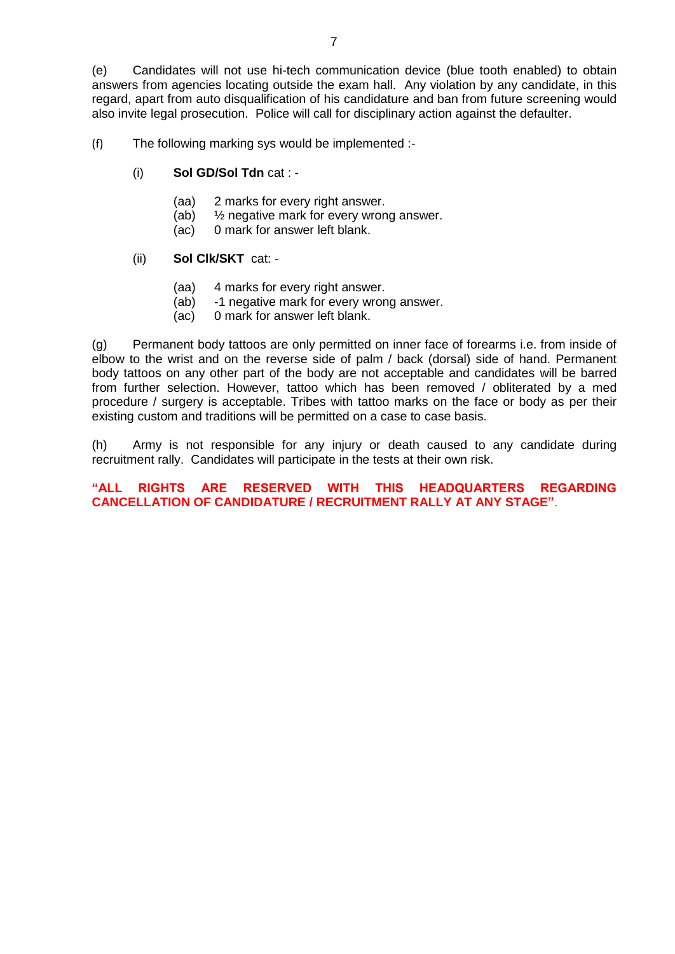(e) Candidates will not use hi-tech communication device (blue tooth enabled) to obtain answers from agencies locating outside the exam hall. Any violation by any candidate, in this regard, apart from auto disqualification of his candidature and ban from future screening would also invite legal prosecution. Police will call for disciplinary action against the defaulter.

(f) The following marking sys would be implemented :-

- (i) **Sol GD/Sol Tdn** cat :
	- (aa) 2 marks for every right answer.
	- (ab) ½ negative mark for every wrong answer.
	- (ac) 0 mark for answer left blank.

#### (ii) **Sol Clk/SKT** cat: -

- (aa) 4 marks for every right answer.
- (ab) -1 negative mark for every wrong answer.
- (ac) 0 mark for answer left blank.

(g) Permanent body tattoos are only permitted on inner face of forearms i.e. from inside of elbow to the wrist and on the reverse side of palm / back (dorsal) side of hand. Permanent body tattoos on any other part of the body are not acceptable and candidates will be barred from further selection. However, tattoo which has been removed / obliterated by a med procedure / surgery is acceptable. Tribes with tattoo marks on the face or body as per their existing custom and traditions will be permitted on a case to case basis.

(h) Army is not responsible for any injury or death caused to any candidate during recruitment rally. Candidates will participate in the tests at their own risk.

### **"ALL RIGHTS ARE RESERVED WITH THIS HEADQUARTERS REGARDING CANCELLATION OF CANDIDATURE / RECRUITMENT RALLY AT ANY STAGE"**.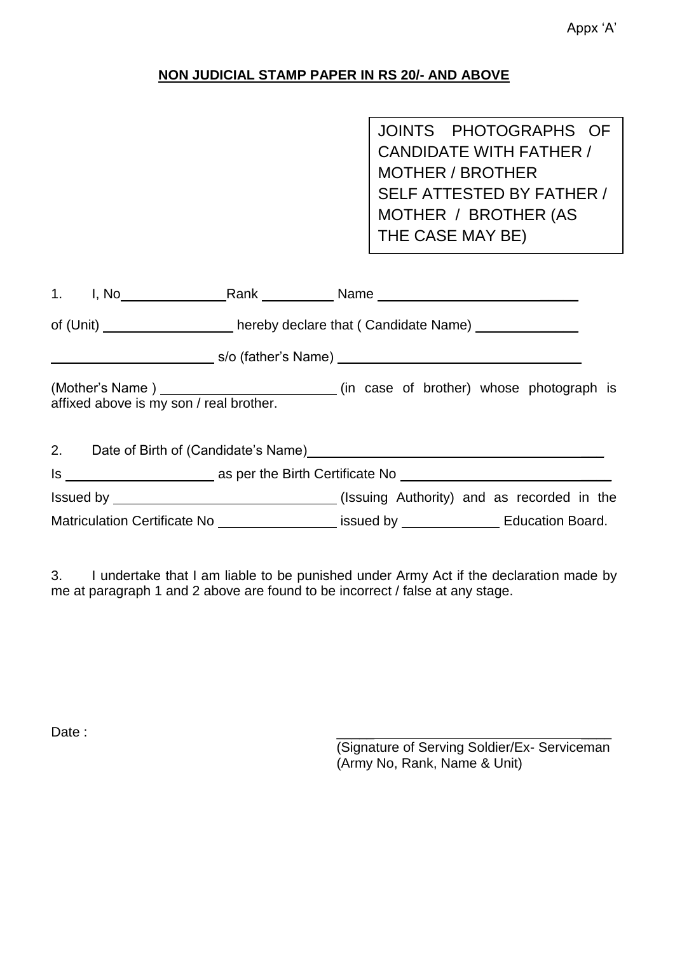# **NON JUDICIAL STAMP PAPER IN RS 20/- AND ABOVE**

JOINTS PHOTOGRAPHS OF CANDIDATE WITH FATHER / MOTHER / BROTHER SELF ATTESTED BY FATHER / MOTHER / BROTHER (AS THE CASE MAY BE)

|                                         | 1. I, No Rank Name Name                                                                      |  |
|-----------------------------------------|----------------------------------------------------------------------------------------------|--|
|                                         | of (Unit) _____________________hereby declare that (Candidate Name) ____________             |  |
|                                         |                                                                                              |  |
| affixed above is my son / real brother. | (Mother's Name) _____________________________(in case of brother) whose photograph is        |  |
|                                         | 2. Date of Birth of (Candidate's Name)<br><u>Date of Birth of (Candidate's Name)</u>         |  |
|                                         |                                                                                              |  |
|                                         | Issued by __________________________________(Issuing Authority) and as recorded in the       |  |
|                                         | Matriculation Certificate No ___________________ issued by ________________ Education Board. |  |

3. I undertake that I am liable to be punished under Army Act if the declaration made by me at paragraph 1 and 2 above are found to be incorrect / false at any stage.

Date : \_\_\_\_\_ \_\_\_\_

(Signature of Serving Soldier/Ex- Serviceman (Army No, Rank, Name & Unit)